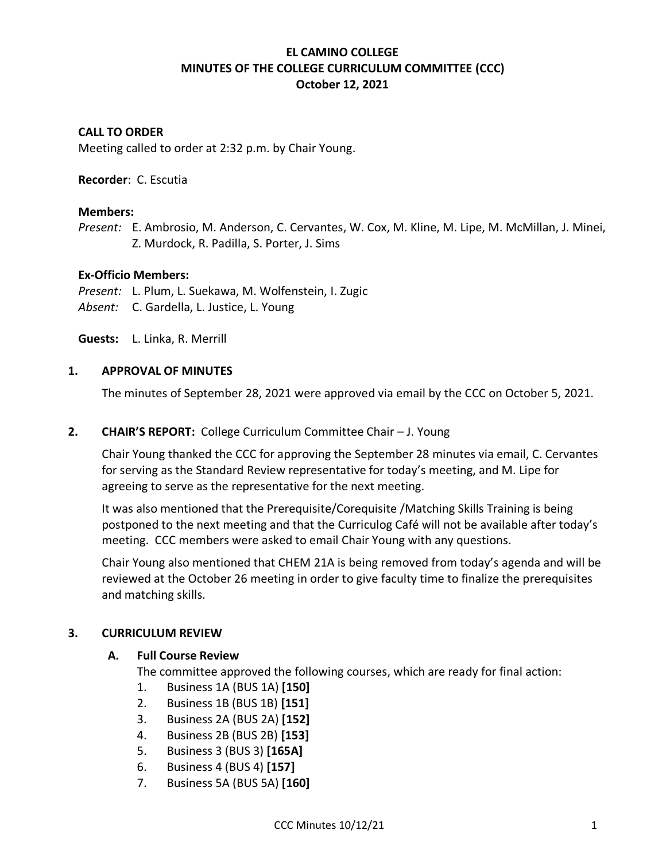# **EL CAMINO COLLEGE MINUTES OF THE COLLEGE CURRICULUM COMMITTEE (CCC) October 12, 2021**

## **CALL TO ORDER**

Meeting called to order at 2:32 p.m. by Chair Young.

### **Recorder**: C. Escutia

### **Members:**

*Present:* E. Ambrosio, M. Anderson, C. Cervantes, W. Cox, M. Kline, M. Lipe, M. McMillan, J. Minei, Z. Murdock, R. Padilla, S. Porter, J. Sims

### **Ex-Officio Members:**

*Present:* L. Plum, L. Suekawa, M. Wolfenstein, I. Zugic *Absent:* C. Gardella, L. Justice, L. Young

**Guests:** L. Linka, R. Merrill

### **1. APPROVAL OF MINUTES**

The minutes of September 28, 2021 were approved via email by the CCC on October 5, 2021.

#### **2. CHAIR'S REPORT:** College Curriculum Committee Chair – J. Young

Chair Young thanked the CCC for approving the September 28 minutes via email, C. Cervantes for serving as the Standard Review representative for today's meeting, and M. Lipe for agreeing to serve as the representative for the next meeting.

It was also mentioned that the Prerequisite/Corequisite /Matching Skills Training is being postponed to the next meeting and that the Curriculog Café will not be available after today's meeting. CCC members were asked to email Chair Young with any questions.

Chair Young also mentioned that CHEM 21A is being removed from today's agenda and will be reviewed at the October 26 meeting in order to give faculty time to finalize the prerequisites and matching skills.

## **3. CURRICULUM REVIEW**

## **A. Full Course Review**

The committee approved the following courses, which are ready for final action:

- 1. Business 1A (BUS 1A) **[150]**
- 2. Business 1B (BUS 1B) **[151]**
- 3. Business 2A (BUS 2A) **[152]**
- 4. Business 2B (BUS 2B) **[153]**
- 5. Business 3 (BUS 3) **[165A]**
- 6. Business 4 (BUS 4) **[157]**
- 7. Business 5A (BUS 5A) **[160]**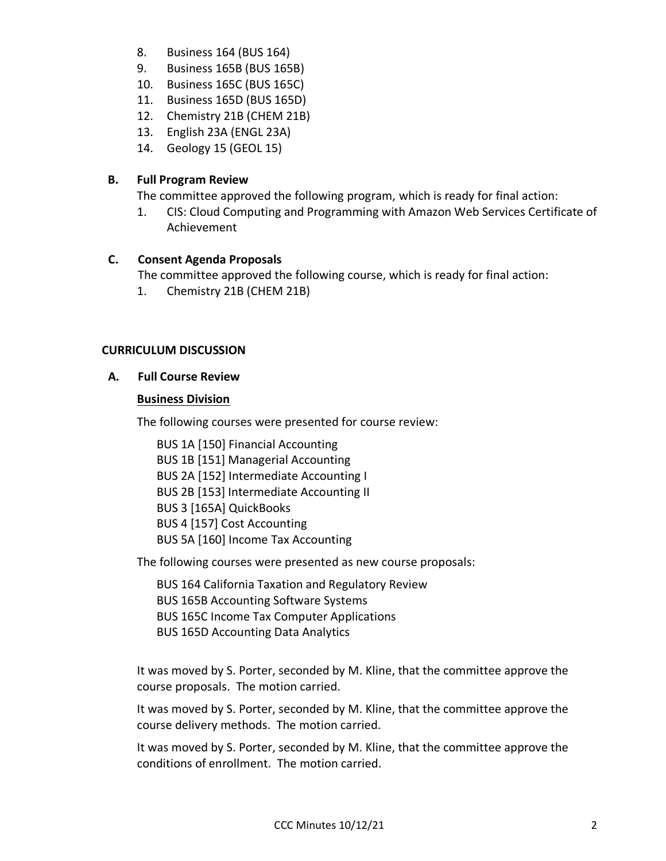- 8. Business 164 (BUS 164)
- 9. Business 165B (BUS 165B)
- 10. Business 165C (BUS 165C)
- 11. Business 165D (BUS 165D)
- 12. Chemistry 21B (CHEM 21B)
- 13. English 23A (ENGL 23A)
- 14. Geology 15 (GEOL 15)

## **B. Full Program Review**

The committee approved the following program, which is ready for final action:

1. CIS: Cloud Computing and Programming with Amazon Web Services Certificate of Achievement

## **C. Consent Agenda Proposals**

The committee approved the following course, which is ready for final action:

1. Chemistry 21B (CHEM 21B)

## **CURRICULUM DISCUSSION**

## **A. Full Course Review**

## **Business Division**

The following courses were presented for course review:

BUS 1A [150] Financial Accounting BUS 1B [151] Managerial Accounting BUS 2A [152] Intermediate Accounting I BUS 2B [153] Intermediate Accounting II BUS 3 [165A] QuickBooks BUS 4 [157] Cost Accounting BUS 5A [160] Income Tax Accounting

The following courses were presented as new course proposals:

BUS 164 California Taxation and Regulatory Review BUS 165B Accounting Software Systems BUS 165C Income Tax Computer Applications BUS 165D Accounting Data Analytics

It was moved by S. Porter, seconded by M. Kline, that the committee approve the course proposals. The motion carried.

It was moved by S. Porter, seconded by M. Kline, that the committee approve the course delivery methods. The motion carried.

It was moved by S. Porter, seconded by M. Kline, that the committee approve the conditions of enrollment. The motion carried.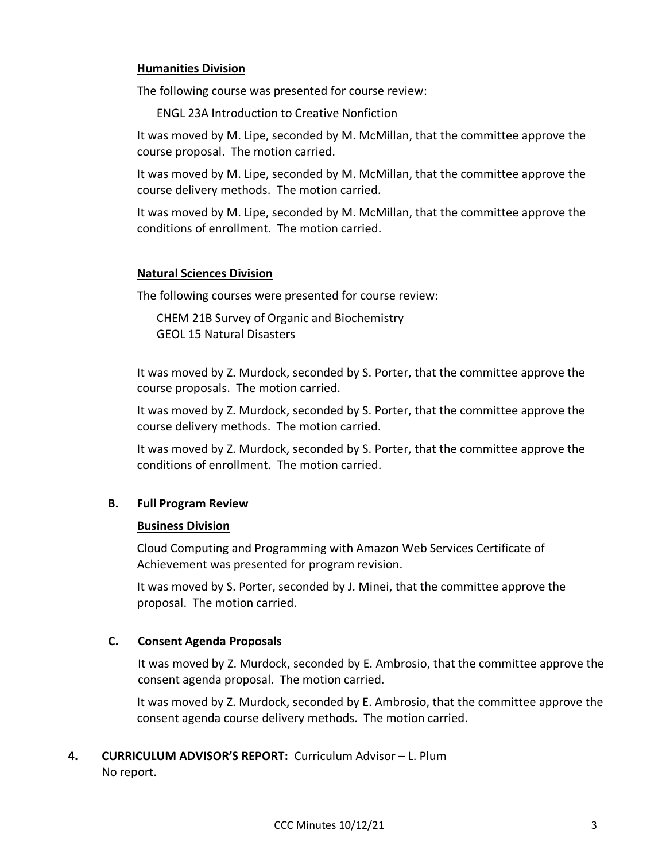### **Humanities Division**

The following course was presented for course review:

ENGL 23A Introduction to Creative Nonfiction

It was moved by M. Lipe, seconded by M. McMillan, that the committee approve the course proposal. The motion carried.

It was moved by M. Lipe, seconded by M. McMillan, that the committee approve the course delivery methods. The motion carried.

It was moved by M. Lipe, seconded by M. McMillan, that the committee approve the conditions of enrollment. The motion carried.

#### **Natural Sciences Division**

The following courses were presented for course review:

CHEM 21B Survey of Organic and Biochemistry GEOL 15 Natural Disasters

It was moved by Z. Murdock, seconded by S. Porter, that the committee approve the course proposals. The motion carried.

It was moved by Z. Murdock, seconded by S. Porter, that the committee approve the course delivery methods. The motion carried.

It was moved by Z. Murdock, seconded by S. Porter, that the committee approve the conditions of enrollment. The motion carried.

## **B. Full Program Review**

#### **Business Division**

Cloud Computing and Programming with Amazon Web Services Certificate of Achievement was presented for program revision.

It was moved by S. Porter, seconded by J. Minei, that the committee approve the proposal. The motion carried.

#### **C. Consent Agenda Proposals**

It was moved by Z. Murdock, seconded by E. Ambrosio, that the committee approve the consent agenda proposal. The motion carried.

It was moved by Z. Murdock, seconded by E. Ambrosio, that the committee approve the consent agenda course delivery methods. The motion carried.

**4. CURRICULUM ADVISOR'S REPORT:** Curriculum Advisor – L. Plum No report.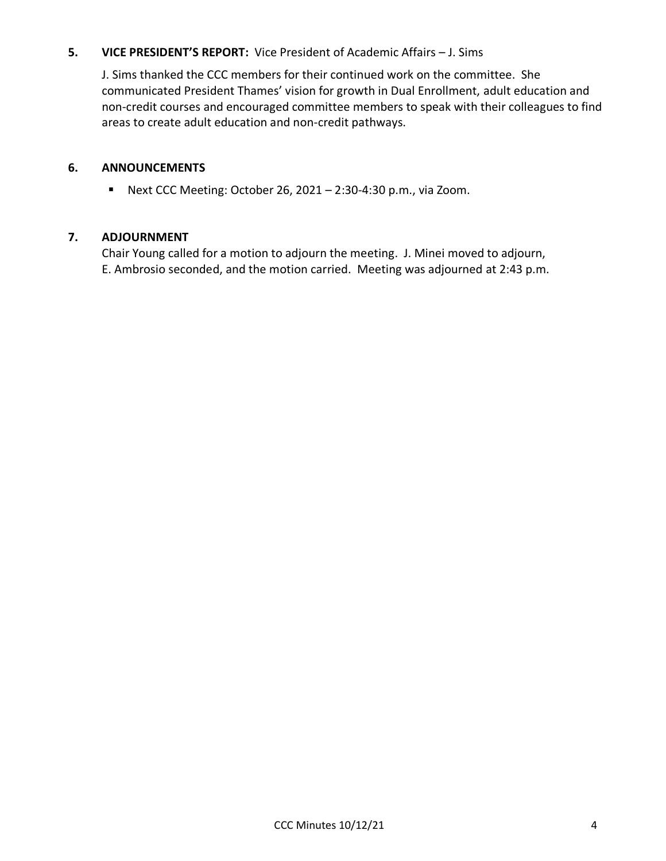## **5. VICE PRESIDENT'S REPORT:** Vice President of Academic Affairs – J. Sims

J. Sims thanked the CCC members for their continued work on the committee. She communicated President Thames' vision for growth in Dual Enrollment, adult education and non-credit courses and encouraged committee members to speak with their colleagues to find areas to create adult education and non-credit pathways.

## **6. ANNOUNCEMENTS**

■ Next CCC Meeting: October 26, 2021 – 2:30-4:30 p.m., via Zoom.

### **7. ADJOURNMENT**

Chair Young called for a motion to adjourn the meeting. J. Minei moved to adjourn, E. Ambrosio seconded, and the motion carried. Meeting was adjourned at 2:43 p.m.